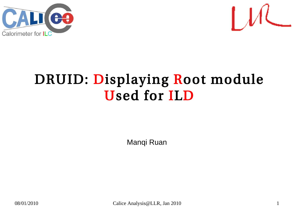



#### DRUID: Displaying Root module Used for ILD

Manqi Ruan

08/01/2010 Calice Analysis@LLR, Jan 2010 1 1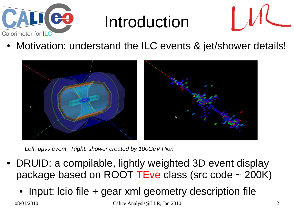

### Introduction



Motivation: understand the ILC events & jet/shower details!



*Left: μμνν event; Right: shower created by 100GeV Pion*

- DRUID: a compilable, lightly weighted 3D event display package based on ROOT TEve class (src code  $\sim$  200K)
	- Input: Icio file  $+$  gear xml geometry description file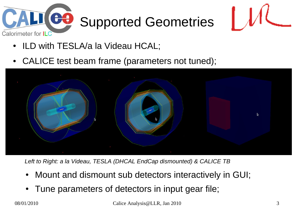

# Supported Geometries



- ILD with TESLA/a la Videau HCAL;
- CALICE test beam frame (parameters not tuned);



*Left to Right: a la Videau, TESLA (DHCAL EndCap dismounted) & CALICE TB*

- Mount and dismount sub detectors interactively in GUI;
- Tune parameters of detectors in input gear file;

 $08/01/2010$  Calice Analysis $\omega$ LLR, Jan 2010 3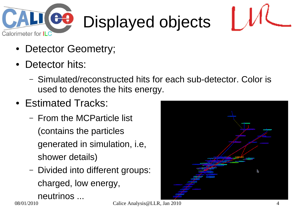

# Displayed objects



- Detector Geometry;
- Detector hits:
	- Simulated/reconstructed hits for each sub-detector. Color is used to denotes the hits energy.
- Estimated Tracks:
	- From the MCParticle list (contains the particles generated in simulation, i.e, shower details)
	- Divided into different groups: charged, low energy, neutrinos ...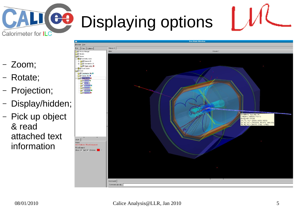Displaying options

- Zoom;
- Rotate;
- Projection;

Calorimeter for ILC

– Display/hidden;

CO

– Pick up object & read attached text information

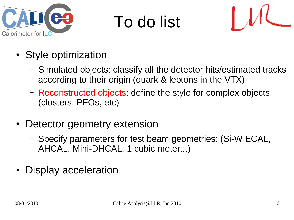

## To do list



- Style optimization
	- Simulated objects: classify all the detector hits/estimated tracks according to their origin (quark & leptons in the VTX)
	- Reconstructed objects: define the style for complex objects (clusters, PFOs, etc)
- Detector geometry extension
	- Specify parameters for test beam geometries: (Si-W ECAL, AHCAL, Mini-DHCAL, 1 cubic meter...)
- Display acceleration